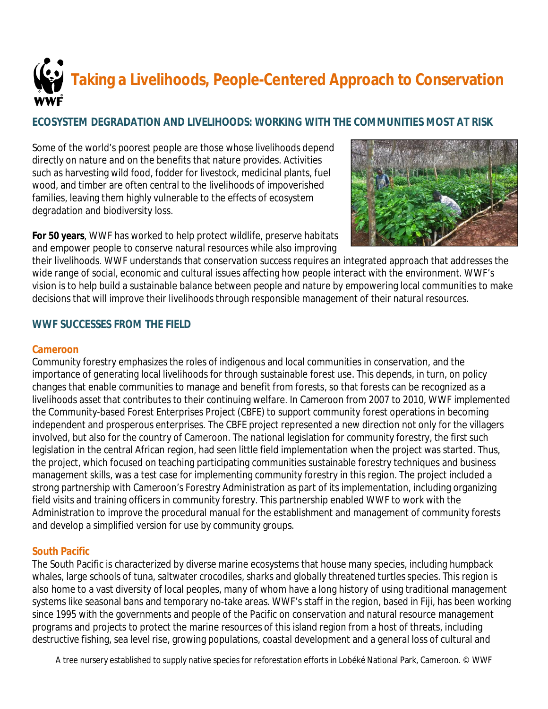

## **ECOSYSTEM DEGRADATION AND LIVELIHOODS: WORKING WITH THE COMMUNITIES MOST AT RISK**

Some of the world's poorest people are those whose livelihoods depend directly on nature and on the benefits that nature provides. Activities such as harvesting wild food, fodder for livestock, medicinal plants, fuel wood, and timber are often central to the livelihoods of impoverished families, leaving them highly vulnerable to the effects of ecosystem degradation and biodiversity loss.

**For 50 years**, WWF has worked to help protect wildlife, preserve habitats and empower people to conserve natural resources while also improving



their livelihoods. WWF understands that conservation success requires an integrated approach that addresses the wide range of social, economic and cultural issues affecting how people interact with the environment. WWF's vision is to help build a sustainable balance between people and nature by empowering local communities to make decisions that will improve their livelihoods through responsible management of their natural resources.

## **WWF SUCCESSES FROM THE FIELD**

#### **Cameroon**

Community forestry emphasizes the roles of indigenous and local communities in conservation, and the importance of generating local livelihoods for through sustainable forest use. This depends, in turn, on policy changes that enable communities to manage and benefit from forests, so that forests can be recognized as a livelihoods asset that contributes to their continuing welfare. In Cameroon from 2007 to 2010, WWF implemented the Community-based Forest Enterprises Project (CBFE) to support community forest operations in becoming independent and prosperous enterprises. The CBFE project represented a new direction not only for the villagers involved, but also for the country of Cameroon. The national legislation for community forestry, the first such legislation in the central African region, had seen little field implementation when the project was started. Thus, the project, which focused on teaching participating communities sustainable forestry techniques and business management skills, was a test case for implementing community forestry in this region. The project included a strong partnership with Cameroon's Forestry Administration as part of its implementation, including organizing field visits and training officers in community forestry. This partnership enabled WWF to work with the Administration to improve the procedural manual for the establishment and management of community forests and develop a simplified version for use by community groups.

#### **South Pacific**

The South Pacific is characterized by diverse marine ecosystems that house many species, including humpback whales, large schools of tuna, saltwater crocodiles, sharks and globally threatened turtles species. This region is also home to a vast diversity of local peoples, many of whom have a long history of using traditional management systems like seasonal bans and temporary no-take areas. WWF's staff in the region, based in Fiji, has been working since 1995 with the governments and people of the Pacific on conservation and natural resource management programs and projects to protect the marine resources of this island region from a host of threats, including destructive fishing, sea level rise, growing populations, coastal development and a general loss of cultural and

A tree nursery established to supply native species for reforestation efforts in Lobéké National Park, Cameroon. © WWF